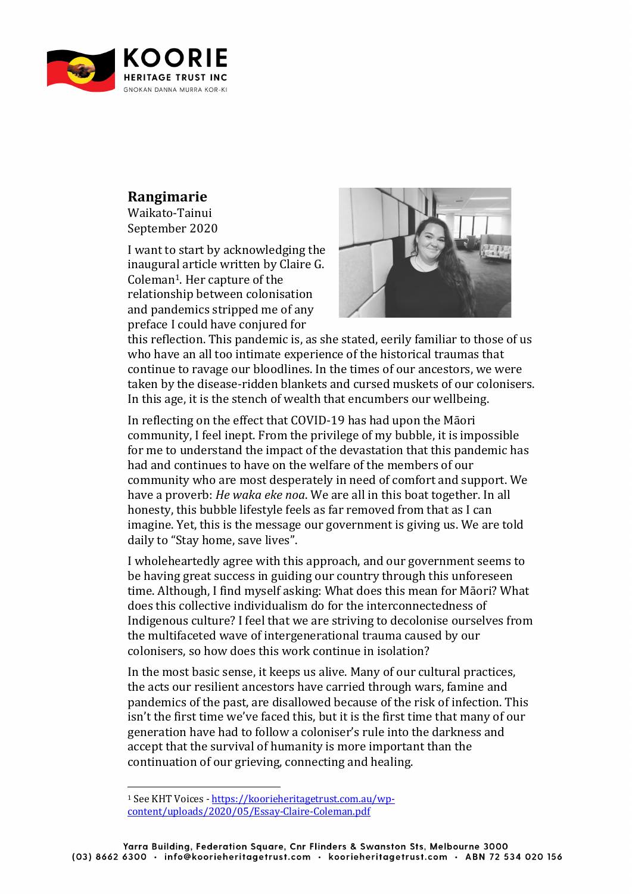

## **Rangimarie**

Waikato-Tainui September 2020

I want to start by acknowledging the inaugural article written by Claire G. Coleman<sup>1</sup>. Her capture of the relationship between colonisation and pandemics stripped me of any preface I could have conjured for



this reflection. This pandemic is, as she stated, eerily familiar to those of us who have an all too intimate experience of the historical traumas that continue to ravage our bloodlines. In the times of our ancestors, we were taken by the disease-ridden blankets and cursed muskets of our colonisers. In this age, it is the stench of wealth that encumbers our wellbeing.

In reflecting on the effect that COVID-19 has had upon the Māori community, I feel inept. From the privilege of my bubble, it is impossible for me to understand the impact of the devastation that this pandemic has had and continues to have on the welfare of the members of our community who are most desperately in need of comfort and support. We have a proverb: *He waka eke noa*. We are all in this boat together. In all honesty, this bubble lifestyle feels as far removed from that as I can imagine. Yet, this is the message our government is giving us. We are told daily to "Stay home, save lives".

I wholeheartedly agree with this approach, and our government seems to be having great success in guiding our country through this unforeseen time. Although, I find myself asking: What does this mean for Māori? What does this collective individualism do for the interconnectedness of Indigenous culture? I feel that we are striving to decolonise ourselves from the multifaceted wave of intergenerational trauma caused by our colonisers, so how does this work continue in isolation?

In the most basic sense, it keeps us alive. Many of our cultural practices, the acts our resilient ancestors have carried through wars, famine and pandemics of the past, are disallowed because of the risk of infection. This isn't the first time we've faced this, but it is the first time that many of our generation have had to follow a coloniser's rule into the darkness and accept that the survival of humanity is more important than the continuation of our grieving, connecting and healing.

<sup>&</sup>lt;sup>1</sup> See KHT Voices - https://koorieheritagetrust.com.au/wpcontent/uploads/2020/05/Essay-Claire-Coleman.pdf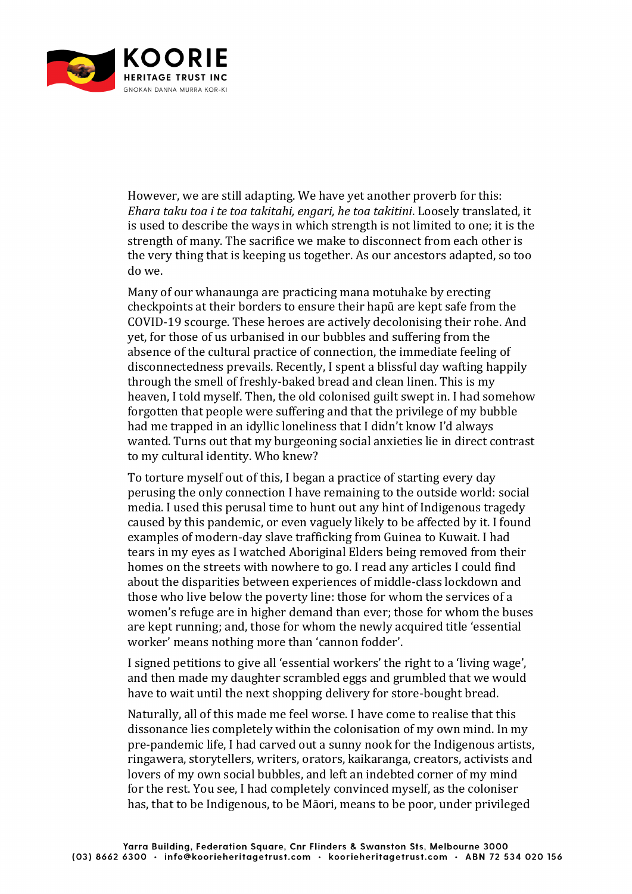

However, we are still adapting. We have vet another proverb for this: *Ehara taku toa i te toa takitahi, engari, he toa takitini, Loosely translated, it* is used to describe the ways in which strength is not limited to one; it is the strength of many. The sacrifice we make to disconnect from each other is the very thing that is keeping us together. As our ancestors adapted, so too do we. 

Many of our whanaunga are practicing mana motuhake by erecting checkpoints at their borders to ensure their hapū are kept safe from the COVID-19 scourge. These heroes are actively decolonising their rohe. And vet, for those of us urbanised in our bubbles and suffering from the absence of the cultural practice of connection, the immediate feeling of disconnectedness prevails. Recently, I spent a blissful day wafting happily through the smell of freshly-baked bread and clean linen. This is my heaven, I told myself. Then, the old colonised guilt swept in. I had somehow forgotten that people were suffering and that the privilege of my bubble had me trapped in an idyllic loneliness that I didn't know I'd always wanted. Turns out that my burgeoning social anxieties lie in direct contrast to my cultural identity. Who knew?

To torture myself out of this, I began a practice of starting every day perusing the only connection I have remaining to the outside world: social media. I used this perusal time to hunt out any hint of Indigenous tragedy caused by this pandemic, or even vaguely likely to be affected by it. I found examples of modern-day slave trafficking from Guinea to Kuwait. I had tears in my eyes as I watched Aboriginal Elders being removed from their homes on the streets with nowhere to go. I read any articles I could find about the disparities between experiences of middle-class lockdown and those who live below the poverty line: those for whom the services of a women's refuge are in higher demand than ever; those for whom the buses are kept running; and, those for whom the newly acquired title 'essential worker' means nothing more than 'cannon fodder'.

I signed petitions to give all 'essential workers' the right to a 'living wage'. and then made my daughter scrambled eggs and grumbled that we would have to wait until the next shopping delivery for store-bought bread.

Naturally, all of this made me feel worse. I have come to realise that this dissonance lies completely within the colonisation of my own mind. In my pre-pandemic life, I had carved out a sunny nook for the Indigenous artists, ringawera, storytellers, writers, orators, kaikaranga, creators, activists and lovers of my own social bubbles, and left an indebted corner of my mind for the rest. You see, I had completely convinced myself, as the coloniser has, that to be Indigenous, to be Māori, means to be poor, under privileged